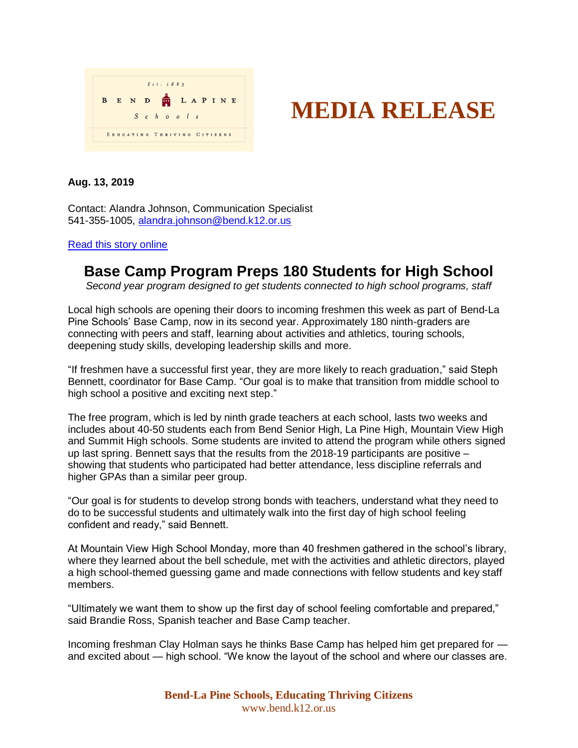

## **MEDIA RELEASE**

**Aug. 13, 2019**

Contact: Alandra Johnson, Communication Specialist 541-355-1005, [alandra.johnson@bend.k12.or.us](mailto:alandra.johnson@bend.k12.or.us)

[Read this story online](https://www.bend.k12.or.us/district/news-events/news/2019/08/base-camp-preps-students-high-school)

## **Base Camp Program Preps 180 Students for High School**

*Second year program designed to get students connected to high school programs, staff*

Local high schools are opening their doors to incoming freshmen this week as part of Bend-La Pine Schools' Base Camp, now in its second year. Approximately 180 ninth-graders are connecting with peers and staff, learning about activities and athletics, touring schools, deepening study skills, developing leadership skills and more.

"If freshmen have a successful first year, they are more likely to reach graduation," said Steph Bennett, coordinator for Base Camp. "Our goal is to make that transition from middle school to high school a positive and exciting next step."

The free program, which is led by ninth grade teachers at each school, lasts two weeks and includes about 40-50 students each from Bend Senior High, La Pine High, Mountain View High and Summit High schools. Some students are invited to attend the program while others signed up last spring. Bennett says that the results from the 2018-19 participants are positive – showing that students who participated had better attendance, less discipline referrals and higher GPAs than a similar peer group.

"Our goal is for students to develop strong bonds with teachers, understand what they need to do to be successful students and ultimately walk into the first day of high school feeling confident and ready," said Bennett.

At Mountain View High School Monday, more than 40 freshmen gathered in the school's library, where they learned about the bell schedule, met with the activities and athletic directors, played a high school-themed guessing game and made connections with fellow students and key staff members.

"Ultimately we want them to show up the first day of school feeling comfortable and prepared," said Brandie Ross, Spanish teacher and Base Camp teacher.

Incoming freshman Clay Holman says he thinks Base Camp has helped him get prepared for and excited about — high school. "We know the layout of the school and where our classes are.